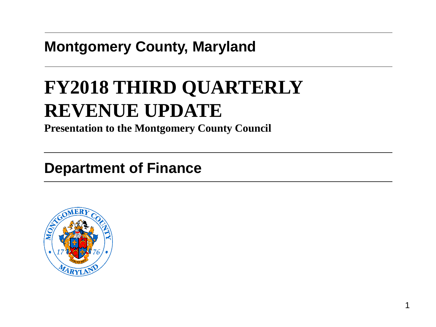### **Montgomery County, Maryland**

# **FY2018 THIRD QUARTERLY REVENUE UPDATE**

**Presentation to the Montgomery County Council**

### **Department of Finance**

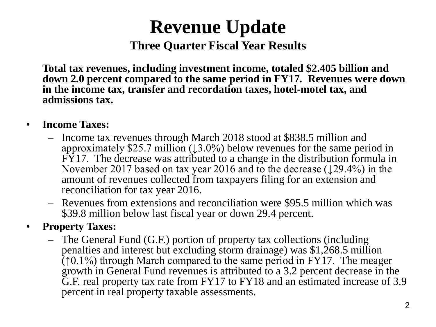# **Revenue Update Three Quarter Fiscal Year Results**

**Total tax revenues, including investment income, totaled \$2.405 billion and down 2.0 percent compared to the same period in FY17. Revenues were down in the income tax, transfer and recordation taxes, hotel-motel tax, and admissions tax.**

- **Income Taxes:**
	- Income tax revenues through March 2018 stood at \$838.5 million and approximately \$25.7 million ( $\downarrow$ 3.0%) below revenues for the same period in FY17. The decrease was attributed to a change in the distribution formula in November 2017 based on tax year 2016 and to the decrease (↓29.4%) in the amount of revenues collected from taxpayers filing for an extension and reconciliation for tax year 2016.
	- Revenues from extensions and reconciliation were \$95.5 million which was \$39.8 million below last fiscal year or down 29.4 percent.

#### • **Property Taxes:**

– The General Fund (G.F.) portion of property tax collections (including penalties and interest but excluding storm drainage) was \$1,268.5 million  $(10.1\%)$  through March compared to the same period in FY17. The meager growth in General Fund revenues is attributed to a 3.2 percent decrease in the G.F. real property tax rate from FY17 to FY18 and an estimated increase of 3.9 percent in real property taxable assessments.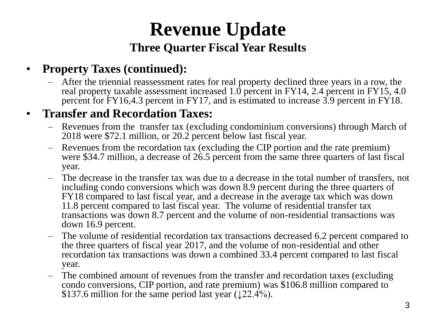# **Revenue Update Three Quarter Fiscal Year Results**

#### • **Property Taxes (continued):**

– After the triennial reassessment rates for real property declined three years in a row, the real property taxable assessment increased 1.0 percent in FY14, 2.4 percent in FY15, 4.0 percent for FY16,4.3 percent in FY17, and is estimated to increase 3.9 percent in FY18.

#### • **Transfer and Recordation Taxes:**

- Revenues from the transfer tax (excluding condominium conversions) through March of 2018 were \$72.1 million, or 20.2 percent below last fiscal year.
- Revenues from the recordation tax (excluding the CIP portion and the rate premium) were \$34.7 million, a decrease of 26.5 percent from the same three quarters of last fiscal year.
- The decrease in the transfer tax was due to a decrease in the total number of transfers, not including condo conversions which was down 8.9 percent during the three quarters of FY18 compared to last fiscal year, and a decrease in the average tax which was down 11.8 percent compared to last fiscal year. The volume of residential transfer tax transactions was down 8.7 percent and the volume of non-residential transactions was down 16.9 percent.
- The volume of residential recordation tax transactions decreased 6.2 percent compared to the three quarters of fiscal year 2017, and the volume of non-residential and other recordation tax transactions was down a combined 33.4 percent compared to last fiscal year.
- The combined amount of revenues from the transfer and recordation taxes (excluding condo conversions, CIP portion, and rate premium) was \$106.8 million compared to \$137.6 million for the same period last year ( $\downarrow$ 22.4%).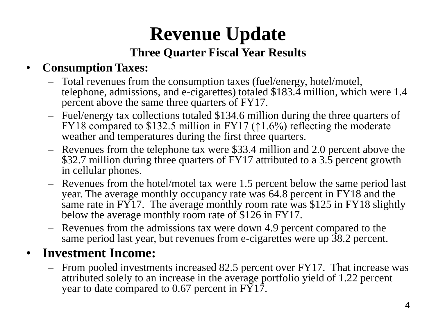## **Revenue Update Three Quarter Fiscal Year Results**

### • **Consumption Taxes:**

- Total revenues from the consumption taxes (fuel/energy, hotel/motel, telephone, admissions, and e-cigarettes) totaled \$183.4 million, which were 1.4 percent above the same three quarters of FY17.
- Fuel/energy tax collections totaled \$134.6 million during the three quarters of FY18 compared to \$132.5 million in FY17 ( $\uparrow$ 1.6%) reflecting the moderate weather and temperatures during the first three quarters.
- Revenues from the telephone tax were \$33.4 million and 2.0 percent above the \$32.7 million during three quarters of FY17 attributed to a 3.5 percent growth in cellular phones.
- Revenues from the hotel/motel tax were 1.5 percent below the same period last year. The average monthly occupancy rate was 64.8 percent in FY18 and the same rate in FY17. The average monthly room rate was \$125 in FY18 slightly below the average monthly room rate of \$126 in FY17.
- Revenues from the admissions tax were down 4.9 percent compared to the same period last year, but revenues from e-cigarettes were up 38.2 percent.

### • **Investment Income:**

– From pooled investments increased 82.5 percent over FY17. That increase was attributed solely to an increase in the average portfolio yield of 1.22 percent year to date compared to 0.67 percent in FY17.